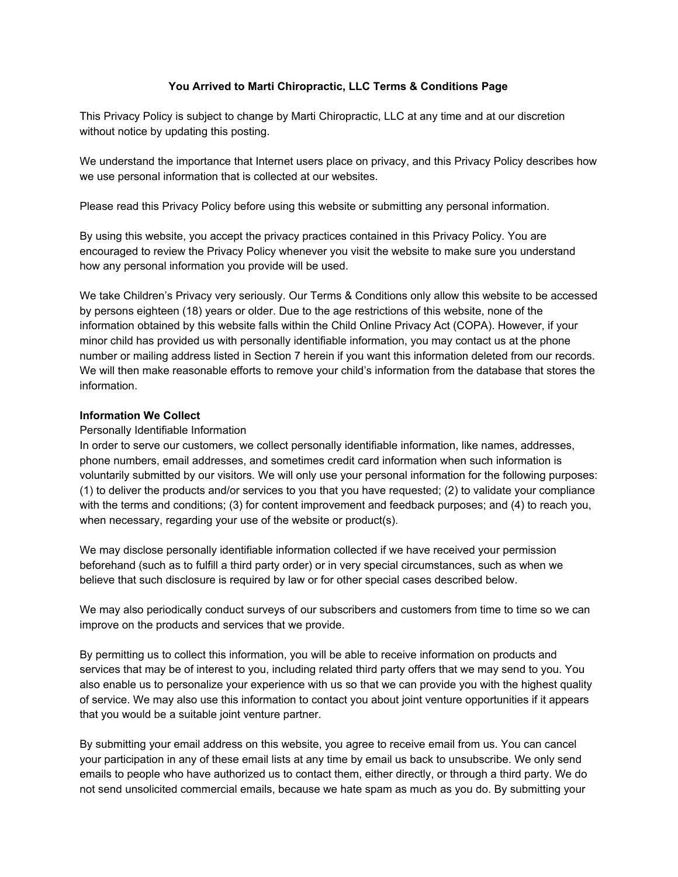# **You Arrived to Marti Chiropractic, LLC Terms & Conditions Page**

This Privacy Policy is subject to change by Marti Chiropractic, LLC at any time and at our discretion without notice by updating this posting.

We understand the importance that Internet users place on privacy, and this Privacy Policy describes how we use personal information that is collected at our websites.

Please read this Privacy Policy before using this website or submitting any personal information.

By using this website, you accept the privacy practices contained in this Privacy Policy. You are encouraged to review the Privacy Policy whenever you visit the website to make sure you understand how any personal information you provide will be used.

We take Children's Privacy very seriously. Our Terms & Conditions only allow this website to be accessed by persons eighteen (18) years or older. Due to the age restrictions of this website, none of the information obtained by this website falls within the Child Online Privacy Act (COPA). However, if your minor child has provided us with personally identifiable information, you may contact us at the phone number or mailing address listed in Section 7 herein if you want this information deleted from our records. We will then make reasonable efforts to remove your child's information from the database that stores the information.

# **Information We Collect**

# Personally Identifiable Information

In order to serve our customers, we collect personally identifiable information, like names, addresses, phone numbers, email addresses, and sometimes credit card information when such information is voluntarily submitted by our visitors. We will only use your personal information for the following purposes: (1) to deliver the products and/or services to you that you have requested; (2) to validate your compliance with the terms and conditions; (3) for content improvement and feedback purposes; and (4) to reach you, when necessary, regarding your use of the website or product(s).

We may disclose personally identifiable information collected if we have received your permission beforehand (such as to fulfill a third party order) or in very special circumstances, such as when we believe that such disclosure is required by law or for other special cases described below.

We may also periodically conduct surveys of our subscribers and customers from time to time so we can improve on the products and services that we provide.

By permitting us to collect this information, you will be able to receive information on products and services that may be of interest to you, including related third party offers that we may send to you. You also enable us to personalize your experience with us so that we can provide you with the highest quality of service. We may also use this information to contact you about joint venture opportunities if it appears that you would be a suitable joint venture partner.

By submitting your email address on this website, you agree to receive email from us. You can cancel your participation in any of these email lists at any time by email us back to unsubscribe. We only send emails to people who have authorized us to contact them, either directly, or through a third party. We do not send unsolicited commercial emails, because we hate spam as much as you do. By submitting your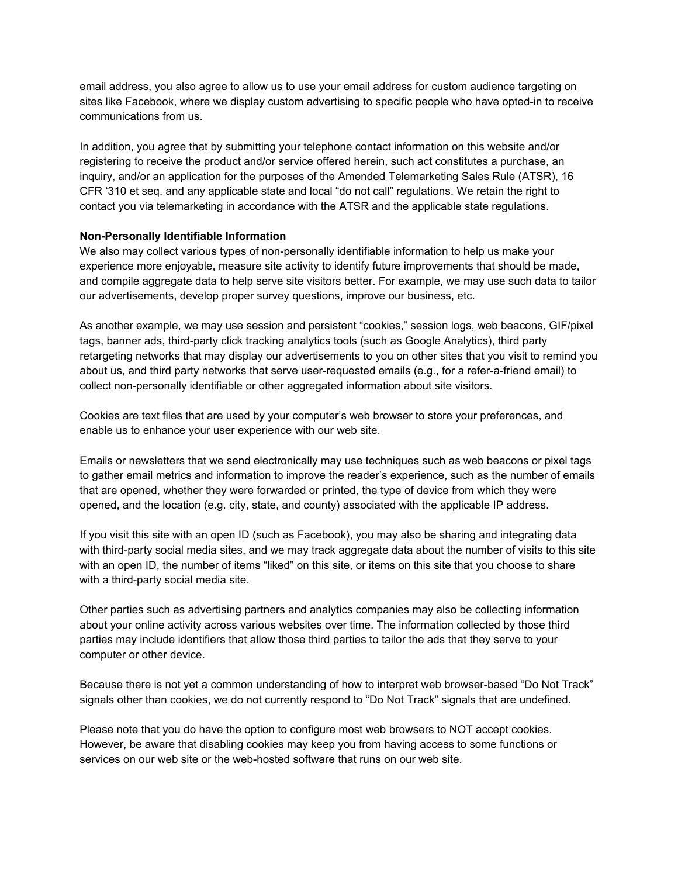email address, you also agree to allow us to use your email address for custom audience targeting on sites like Facebook, where we display custom advertising to specific people who have opted-in to receive communications from us.

In addition, you agree that by submitting your telephone contact information on this website and/or registering to receive the product and/or service offered herein, such act constitutes a purchase, an inquiry, and/or an application for the purposes of the Amended Telemarketing Sales Rule (ATSR), 16 CFR '310 et seq. and any applicable state and local "do not call" regulations. We retain the right to contact you via telemarketing in accordance with the ATSR and the applicable state regulations.

### **Non-Personally Identifiable Information**

We also may collect various types of non-personally identifiable information to help us make your experience more enjoyable, measure site activity to identify future improvements that should be made, and compile aggregate data to help serve site visitors better. For example, we may use such data to tailor our advertisements, develop proper survey questions, improve our business, etc.

As another example, we may use session and persistent "cookies," session logs, web beacons, GIF/pixel tags, banner ads, third-party click tracking analytics tools (such as Google Analytics), third party retargeting networks that may display our advertisements to you on other sites that you visit to remind you about us, and third party networks that serve user-requested emails (e.g., for a refer-a-friend email) to collect non-personally identifiable or other aggregated information about site visitors.

Cookies are text files that are used by your computer's web browser to store your preferences, and enable us to enhance your user experience with our web site.

Emails or newsletters that we send electronically may use techniques such as web beacons or pixel tags to gather email metrics and information to improve the reader's experience, such as the number of emails that are opened, whether they were forwarded or printed, the type of device from which they were opened, and the location (e.g. city, state, and county) associated with the applicable IP address.

If you visit this site with an open ID (such as Facebook), you may also be sharing and integrating data with third-party social media sites, and we may track aggregate data about the number of visits to this site with an open ID, the number of items "liked" on this site, or items on this site that you choose to share with a third-party social media site.

Other parties such as advertising partners and analytics companies may also be collecting information about your online activity across various websites over time. The information collected by those third parties may include identifiers that allow those third parties to tailor the ads that they serve to your computer or other device.

Because there is not yet a common understanding of how to interpret web browser-based "Do Not Track" signals other than cookies, we do not currently respond to "Do Not Track" signals that are undefined.

Please note that you do have the option to configure most web browsers to NOT accept cookies. However, be aware that disabling cookies may keep you from having access to some functions or services on our web site or the web-hosted software that runs on our web site.